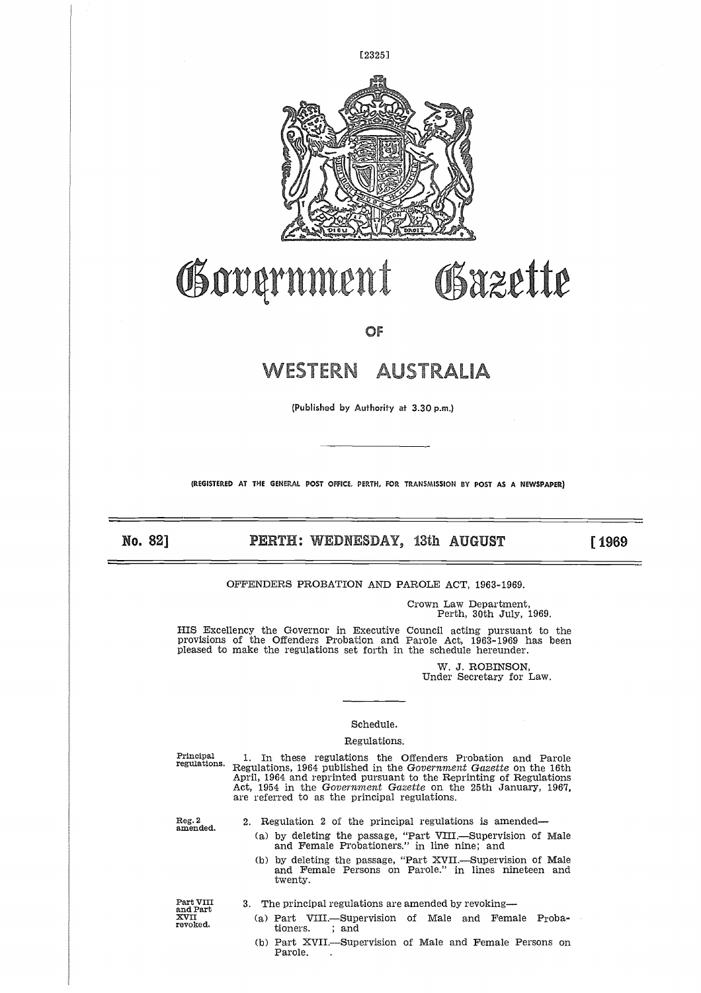

# OSxzette Government

**OF**

# WESTERN AUSTRALIA

**(Published by Authority** at 3.30 p.m.)

**(REGISTERED AT THE GENERAL POST OFFICE. PERTH, FOR TRANSMISSION BY POST AS A NEWSPAPER)**

# **No. 82] PERTH: WEDNESDAY,** 13th **AUGUST [ 1969**

OFFENDERS PROBATION AND PAROLE ACT, 1963-1969.

Crown Law Department, Perth, 30th July, 1969.

HIS Excellency the Governor in Executive Council acting pursuant to the provisions of the Offenders Probation and Parole Act, 1963-1969 has been pleased to make the regulations set forth in the schedule hereunder.

> W. J. ROBINSON, Under Secretary for Law.

# Schedule.

#### Regulations.

Principal regulations.

1. In these regulations the Offenders Probation and Parole Regulations, 1964 published in the *Government Gazette* on the 16th April, 1964 and reprinted pursuant to the Reprinting of Regulations Act, 1954 in the *Government Gazette* on the 25th January, 1967, are referred to as the principal regulations.

Reg. 2 amended.

- 2. Regulation 2 of the principal regulations is amended
	- (a) by deleting the passage, "Part VIII.—Supervision of Male and Female Probationers." in line nine; and
- (b) by deleting the passage, "Part XVII.—Supervision of Male and Female Persons on Parole." in lines nineteen and twenty. 4 in the *Govern:*<br>rred to as the p:<br>gulation 2 of th<br>by deleting the p<br>and Female Prol<br>by deleting the p<br>twenty.<br>twenty.<br>e principal regula<br>Part VIII.—Sup<br>tioners. ; and<br>Part XVII.—Sup<br>Part 2011. pulation 2<br>by deleting<br>and Female<br>by deleting<br>and Female<br>twenty.<br>e principal 1<br>Part VIII.<br>Fart XVII.<br>Parole.

Part VIII and Part **XVII** revoked.

- 3. The principal regulations are amended by revoking
	- (a) Part VIII.—Supervision of Male and Female Proba-
	- (b) Part XVIL—Supervision of Male and Female Persons on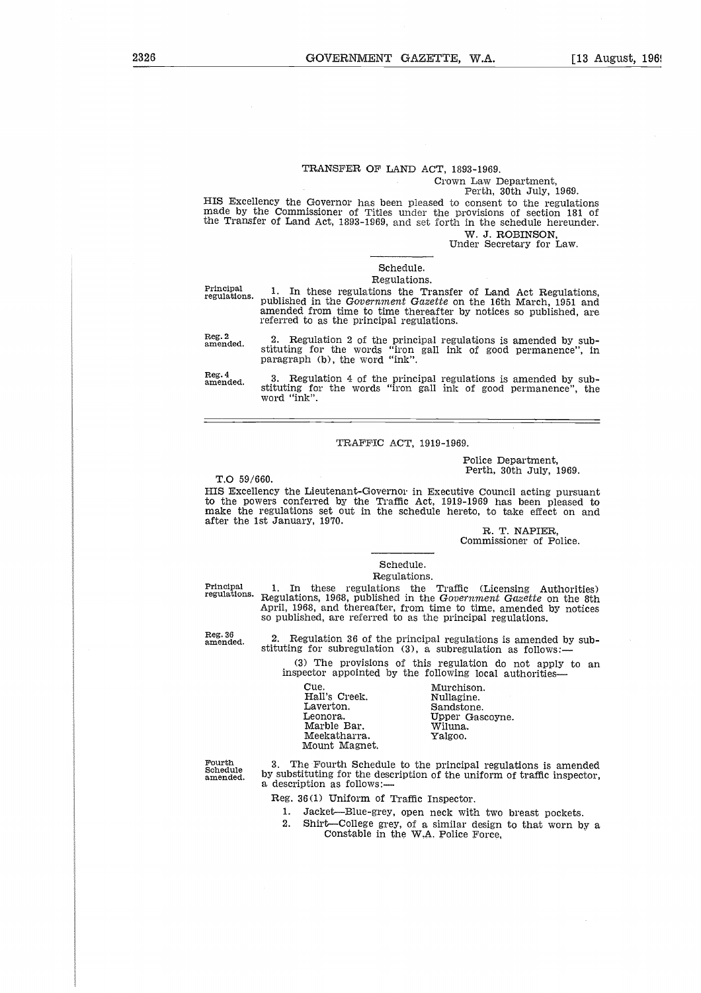# TRANSFER OF LAND ACT, 1893-1969.

Crown Law Department, Perth, 30th July, 1969.

HIS Excellency the Governor has been pleased to consent to the regulations made by the Commissioner of Titles under the provisions of section 181 of the Transfer of Land Act, 1893-1969, and set forth in the schedule hereunder.

W. J. ROBINSON, Under Secretary for Law.

# Schedule.

# Regulations.

Principal regulations.

1. In these regulations the Transfer of Land Act Regulations, published in the *Government Gazette* on the 16th March, 1951 and amended from time to time thereafter by notices so published, are referred to as the principal regulations.

Reg. 2 amended.

2. Regulation 2 of the principal regulations is amended by sub-stituting for the words "iron gall ink of good permanence", in paragraph (b), the word "ink".

Reg. 4 amended.

3. Regulation 4 of the principal regulations is amended by sub-stituting for the words "iron gall ink of good permanence", the word "ink".

## TRAFFIC ACT, 1919-1969.

Police Department, Perth, 30th July, 1969.

T.0 59/660.

HIS Excellency the Lieutenant-Governor in Executive Council acting pursuant

to the powers conferred by the Traffic Act, 1919-1969 has been pleased to make the regulations set out in the schedule hereto, to take effect on and after the 1st January, 1970.

R. T. NAPIER, Commissioner of Police.

#### Schedule. Regulations.

Hall's Creek. Nullagine.<br>Laverton. Sandstone.<br>Leonora. Upper Gascoyne.

Principal regulations.

1. In these regulations the Traffic (Licensing Authorities) Regulations, 1968, published in the *Government Gazette* on the 8th April, 1968, and thereafter, from time to time, amended by notices so published, are referred to as the principal regulations. Committee Committee Committee Committee Committee Committee Committee Committee Committee Committee Committee Committee Committee Committee Committee Committee Committee Committee Committee Committee Committee Committee Co Schedule.<br>
Regulations.<br>
Hester regulations the Traffic<br>
ms, 1968, published in the *Governn*<br>
58, and thereafter, from time to til<br>
hed, are referred to as the principal<br>
gulation 36 of the principal regulat<br>
for subregul Regulations.<br>
Regulations.<br>
These regulations the Traffic (Licens<br>
Dons, 1968, published in the Government G<br>
68, and thereafter, from time to time, am<br>
hed, are referred to as the principal regulations is<br>
for subregulati

Reg. 36 amended.

2. Regulation 36 of the principal regulations is amended by substituting for subregulation (3), a subregulation as follows:

(3) The provisions of this regulation do not apply to an inspector appointed by the following local authorities

Fourth Schedule amended.

3. The Fourth Schedule to the principal regulations is amended by substituting for the description of the uniform of traffic inspector, a description as follows:

Reg. 36(1) Uniform of Traffic Inspector.

Meekatharra. Yalgoo.

Marble Bar.

Mount Magnet.

- 1. Jacket—Blue-grey, open neck with two breast pockets.<br>2. Shirt—College grey, of a similar design to that worn by
- 2. Shirt—College grey, of a similar design to that worn by a Constable in the W.A. Police Force,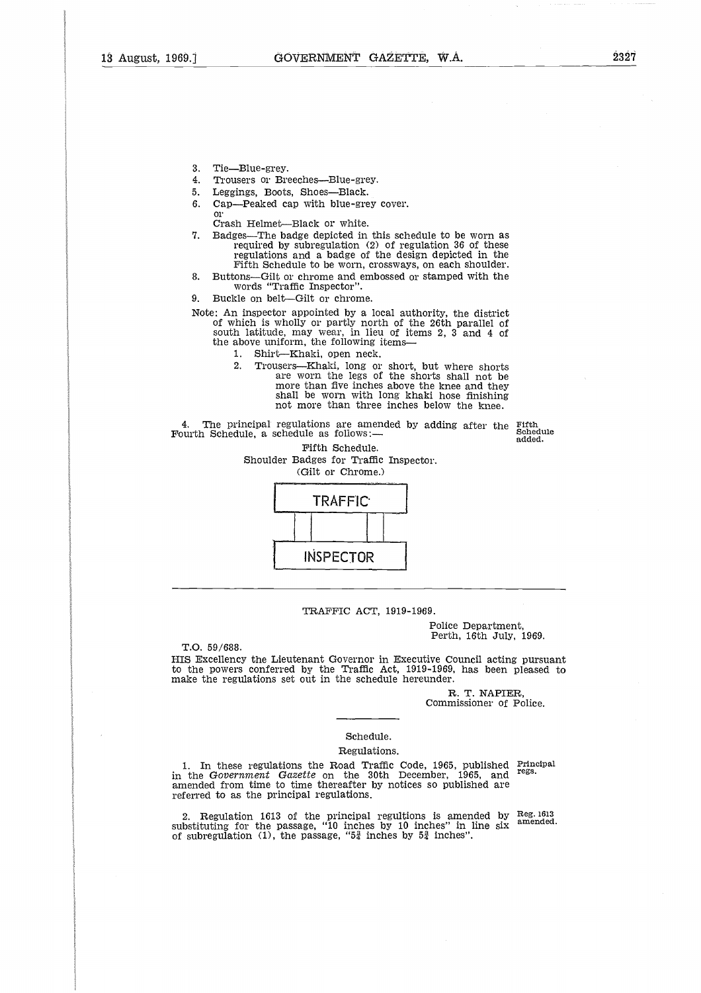- 3. Tie—Blue-grey.
- 4. Trousers or Breeches—Blue-grey.
- 5. Leggings, Boots, Shoes—Black.
- 6. Cap—Peaked cap with blue-grey cover. or

Crash Helmet—Black or white.

- 7. Badges—The badge depicted in this schedule to be worn as required by subregulation (2) of regulation 36 of these regulations and a badge of the design depicted in the Fifth Schedule to be worn, crossways, on each shoulder.
- 8. Buttons—Gilt or chrome and embossed or stamped with the words "Traffic Inspector".
- 9. Buckle on belt—Gilt or chrome.

Note: An inspector appointed by a local authority, the district of which is wholly or partly north of the 26th parallel of south latitude, may wear, in lieu of items 2, 3 and 4 of the above uniform, the following items-

- 1. Shirt—Khaki, open neck.
	- 2. Trousers—Khaki, long or short, but where shorts are worn the legs of the shorts shall not be more than five inches above the knee and they shall be worn with long khaki hose finishing not more than three inches below the knee.

4. The principal regulations are amended by adding after the Fifth<br>uuth Schedule, a schedule as follows:— Fourth Schedule, a schedule as follows:

added.

Fifth Schedule. Shoulder Badges for Traffic Inspector. (Gilt or Chrome.)



#### TRAFFIC ACT, 1919-1969.

Police Department, Perth, 16th July, 1969.

T.O. 59/688.

HIS Excellency the Lieutenant Governor in Executive Council acting pursuant to the powers conferred by the Traffic Act, 1919-1969, has been pleased to make the regulations set out in the schedule hereunder.

> R. T. NAPIER, Commissioner of Police.

## Schedule.

#### Regulations.

1. In these regulations the Road Traffic Code, 1965, published in the *Government Gazette* on the 30th December, 1965, and amended from time to time thereafter by notices so published are referred to as the principal regulations. Principal regs.

2. Regulation 1613 of the principal regultions is amended by substituting for the passage, "10 inches by 10 inches" in line six of subregulation (1), the passage, "54 inches by **5i inches".** Reg. 1613 amended.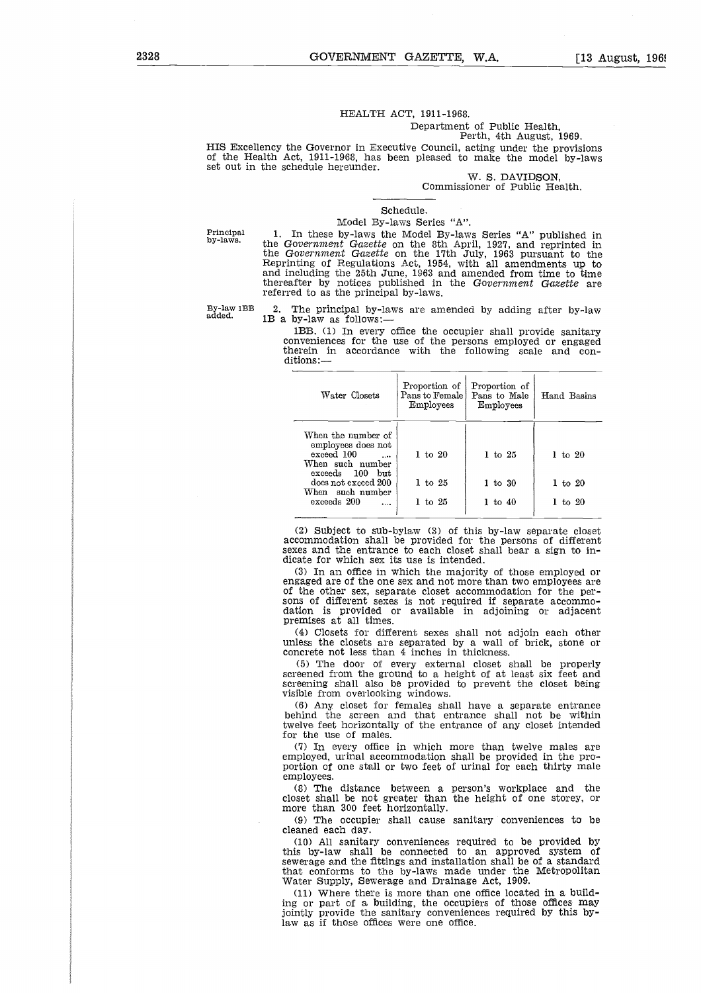## HEALTH ACT, 1911-1968. Department of Public Health,

Perth, 4th August, 1969.

HIS Excellency the Governor in Executive Council, acting under the provisions of the Health Act, 1911-1968, has been pleased to make the model by-laws set out in the schedule hereunder.

*W.* S. DAVIDSON, Commissioner of Public Health.

#### Schedule.

#### Model By-laws Series "A".

Principal by-laws.

1. In these by-laws the Model By-laws Series "A" published in the *Government Gazette* on the 8th April, 1927, and reprinted in the *Government Gazette* on the 17th July, 1963 pursuant to the Reprinting of Regulations Act, 1954, with all amendments up to and including the 25th June, 1963 and amended from time to time thereafter by notices published in the *Government Gazette* are referred to as the principal by-laws. W. S. DAVIDSON,<br>
Commissioner of Public Health.<br>
Schedule.<br>
Model By-laws Series "A".<br>
Principal 1. In these by-laws the Model By-laws Series "A" published in<br>
the Government Gazette on the 8th April, 1927, and reprinted i

2. The principal by-laws are amended by adding after by-law 1B a by-law as follows:—

1BB. (1) In every office the occupier shall provide sanitary conveniences for the use of the persons employed or engaged<br>therein in accordance with the following scale and conrred to as the principal by-laws.<br>The principal by-laws are amended by adding after by-law<br>a by-law as follows:—<br>IBB. (1) In every office the occupier shall provide sanitary<br>conveniences for the use of the persons employe ditions:-

| Water Closets                                                                          | Proportion of<br>Pans to Female<br>Employees | Proportion of<br>Pans to Male<br>Employees | Hand Basins        |
|----------------------------------------------------------------------------------------|----------------------------------------------|--------------------------------------------|--------------------|
| When the number of<br>employees does not<br>exceed 100<br>$\cdots$<br>When such number | $1$ to $20$                                  | $1 \text{ to } 25$                         | $1 \text{ to } 20$ |
| exceeds 100 but<br>does not exceed 200<br>When such number                             | $1$ to $25$                                  | $1 \text{ to } 30$                         | $1$ to $20$        |
| exceeds 200<br>$\cdots$                                                                | $1$ to $25$                                  | $1 \text{ to } 40$                         | $1 \text{ to } 20$ |

(2) Subject to sub-bylaw (3) of this by-law separate closet accommodation shall be provided for the persons of different sexes and the entrance to each closet shall bear a sign to indicate for which sex its use is intended.

(3) In an office in which the majority of those employed or engaged are of the one sex and not more than two employees are of the other sex, separate closet accommodation for the persons of different sexes is not required if separate accommodation is provided or available in adjoining or adjacent premises at all times.

(4) Closets for different sexes shall not adjoin each other unless the closets are separated by a wall of brick, stone or concrete not less than 4 inches in thickness.

(5) The door of every external closet shall be properly screened from the ground to a height of at least six feet and screening shall also be provided to prevent the closet being visible from overlooking windows.

(6) Any closet for females shall have a separate entrance behind the screen and that entrance shall not be within twelve feet horizontally of the entrance of any closet intended for the use of males.

(7) In every office in which more than twelve males are employed, urinal accommodation shall be provided in the proportion of one stall or two feet of urinal for each thirty male employees.

(8) The distance between a person's workplace and the closet shall be not greater than the height of one storey, or more than 300 feet horizontally.

(9) The occupier shall cause sanitary conveniences to be cleaned each day.

(10) All sanitary conveniences required to be provided by this by-law shall be connected to an approved system of sewerage and the fittings and installation shall be of a standard that conforms to the by-laws made under the Metropolitan Water Supply, Sewerage and Drainage Act, 1909.

(11) Where there is more than one office located in a building or part of a building, the occupiers of those offices may jointly provide the sanitary conveniences required by this bylaw as if those offices were one office.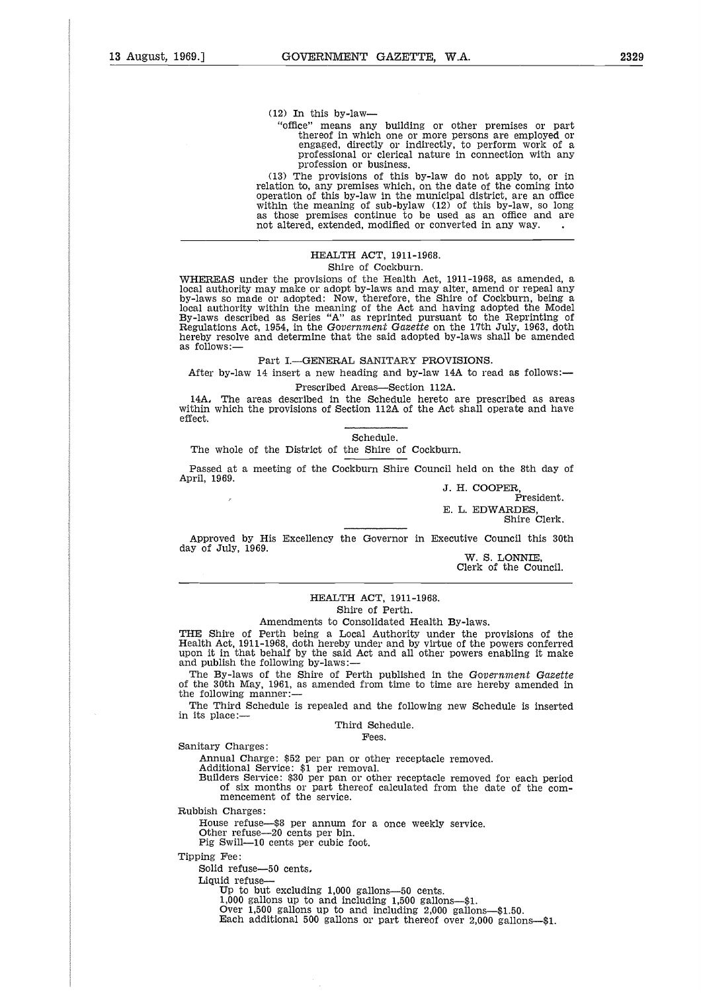$(12)$  In this by-law-

"office" means any building or other premises or part thereof in which one or more persons are employed or engaged, directly or indirectly, to perform work of a professional or clerical nature in connection with any profession or business.

(13) The provisions of this by-law do not apply to, or in relation to, any premises which, on the date of the coming into operation of this by-law in the municipal district, are an office within the meaning of sub-bylaw (12) of this by-law, so long as those premises continue to be used as an office and are (12) In this by-law—<br>
"office" means any building or other premises or pa<br>
thereof in which one or more persons are employed<br>
engaged, directly or indirectly, to perform work of<br>
professional or clerical nature in connect

# HEALTH ACT, 1911-1968.

# Shire of Cockburn.

WHEREAS under the provisions of the Health Act, 1911-1968, as amended, a local authority may make or adopt by-laws and may alter, amend or repeal any by-laws so made or adopted: Now, therefore, the Shire of Cockburn, being a local authority within the meaning of the Act and having adopted the Model By-laws described as Series "A" as reprinted pursuant to the Reprinting of Regulations Act, 1954, in the *Government Gazette* on the 17th July, 1963, doth hereby resolve and determine that the said adopted by-laws shall be amended as follows:—

Part I.—GENERAL SANITARY PROVISIONS.

After by-law 14 insert a new heading and by-law 14A to read as follows: Prescribed Areas—Section 112A.

14A, The areas described in the Schedule hereto are prescribed as areas within which the provisions of Section 112A of the Act shall operate and have effect.

Schedule.

The whole of the District of the Shire of Cockburn.

Passed at a meeting of the Cockburn Shire Council held on the 8th day of April, 1969.

J. H. COOPER, President. E. L. EDWARDES, Shire Clerk.

Approved by His Excellency the Governor in Executive Council this 30th day of July, 1969.

W. S. LONNIE, Clerk of the Council.

#### HEALTH ACT, 1911-1968. Shire of Perth.

#### Amendments to Consolidated Health By-laws.

THE Shire of Perth being a Local Authority under the provisions of the Health Act, 1911-1968, doth hereby under and by virtue of the powers conferred upon it in that behalf by the said Act and all other powers enabling it

The By-laws of the Shire of Perth published in the *Government Gazette* of the 30th May, 1961, as amended from time to time are hereby amended in the following manner:

The Third Schedule is repealed and the following new Schedule is inserted in its place:—

Third Schedule.

Fees.

Sanitary Charges:

Annual Charge: \$52 per pan or other receptacle removed.

Additional Service: \$1 per removal.

Builders Service: \$30 per pan or other receptacle removed for each period of six months or part thereof calculated from the date of the com-mencement of the service.

Rubbish Charges:

House refuse—\$8 per annum for a once weekly service. Other refuse-20 cents per bin. Pig Swill-10 cents per cubic foot.

Tipping Fee:

Solid refuse-50 cents.

Liquid refuse

Up to but excluding 1,000 gallons-50 cents.

1,000 gallons up to and including 1,500 gallons—\$1.

Over 1,500 gallons up to and including 2,000 gallons—\$1.50.

Each additional 500 gallons or part thereof over 2,000 gallons—\$1.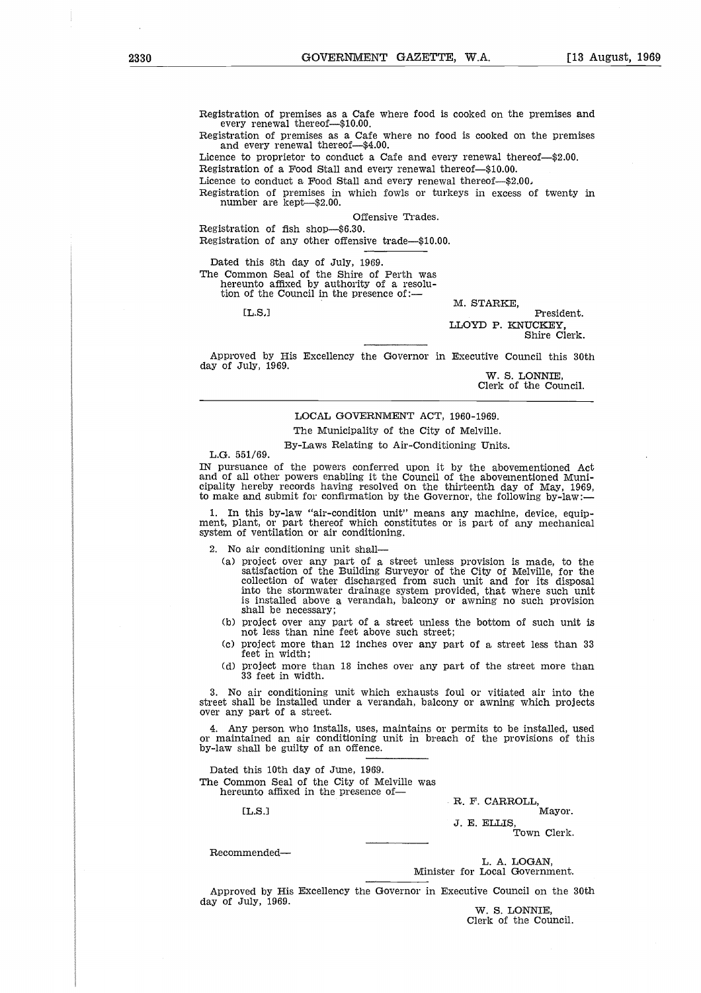Registration of premises as a Cafe where food is cooked on the premises and every renewal thereof—\$10.00.

Registration of premises as a Cafe where no food is cooked on the premises and every renewal thereof—\$4.00.

Licence to proprietor to conduct a Cafe and every renewal thereof—\$2.00.

Registration of a Food Stall and every renewal thereof—\$10.00.

Licence to conduct a Food Stall and every renewal thereof-\$2.00.

Registration of premises in which fowls or turkeys in excess of twenty in number are kept—\$2.00.

Offensive Trades.

Registration of fish shop—\$6.30. Registration of any other offensive trade—\$10.00.

Dated this 8th day of July, 1969. The Common Seal of the Shire of Perth was hereunto affixed by authority of a resolu-

tion of the Council in the presence of:—

 $1.8.1$ 

M. STARKE,

President. LLOYD P. KNUCKEY, Shire Clerk.

Approved by His Excellency the Governor in Executive Council this 30th day of July, 1969.

W. S. LONNIE, Clerk of the Council.

LOCAL GOVERNMENT ACT, 1960-1969. The Municipality of the City of Melville.

By-Laws Relating to Air-Conditioning Units.

L.G. 551/69.

IN pursuance of the powers conferred upon it by the abovementioned Act and of all other powers enabling it the Council of the abovementioned Municipality hereby records having resolved on the thirteenth day of May, 1969, to make and submit for confirmation by the Governor, the following by-law:-

1. In this by-law "air-condition unit" means any machine, device, equipment, plant, or part thereof which constitutes or is part of any mechanical system of ventilation or air conditioning.

2. No air conditioning unit shall

- (a) project over any part of a street unless provision is made, to the satisfaction of the Building Surveyor of the City of Melville, for the collection of water discharged from such unit and for its disposal into the stormwater drainage system provided, that where such unit is installed above a verandah, balcony or awning no such provision shall be necessary;
- (b) project over any part of a street unless the bottom of such unit is not less than nine feet above such street;
- (c) project more than 12 inches over any part of a street less than 33 feet in width;
- (d) project more than 18 inches over any part of the street more than 33 feet in width.

3. No air conditioning unit which exhausts foul or vitiated air into the street shall be installed under a verandah, balcony or awning which projects over any part of a street. ロコピン Costic District Costic Advancement Costic Advancement Costic デジタル しょうしょう ul or y<br>permits<br>permits<br>n of th<br>m<br>R. F. C<br>J. E. E<br>r

4. Any person who installs, uses, maintains or permits to be installed, used or maintained an air conditioning unit in breach of the provisions of this by-law shall be guilty of an offence.

Dated this 10th day of June, 1969. The Common Seal of the City of Melville was

hereunto affixed in the presence of-

 $[T.S.]$ 

Recommended

L. A. LOGAN,

R. F. CARROLL, Mayor.

Town Clerk.

Minister for Local Government.

Approved by His Excellency the Governor in Executive Council on the 30th day of July, 1969.

W. S. LONNIE, Clerk of the Council.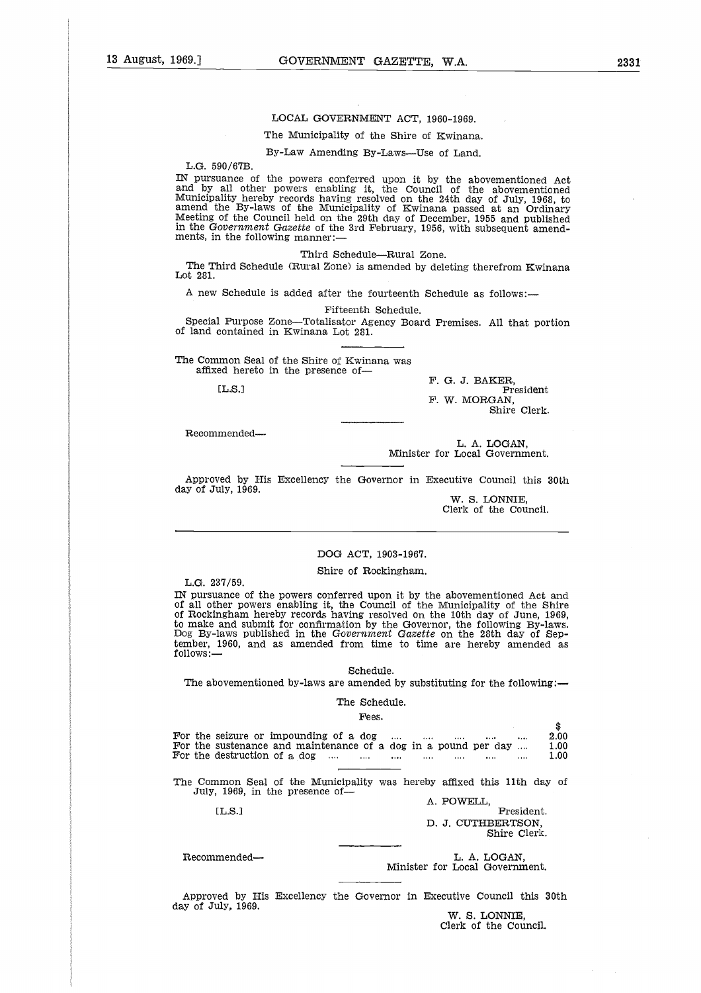#### LOCAL GOVERNMENT ACT, 1960-1969.

## The Municipality of the Shire of Kwinana.

By-Law Amending By-Laws—Use of Land.

L.G. 590/67B.

IN pursuance of the powers conferred upon it by the abovementioned Act and by all other powers enabling it, the Council of the abovementioned Municipality hereby records having resolved on the 24th day of July, 1968, to amend the By-laws of the Municipality of Kwinana passed at an Ordinary Meeting of the Council held on the 29th day of December, 1955 and published in the *Government Gazette* of the 3rd February, 1956, with subsequent amendments, in the following manner:

Third Schedule—Rural Zone.

The Third Schedule (Rural Zone) *is* amended by deleting therefrom Kwinana Lot 281.

A new Schedule is added after the fourteenth Schedule as follows:

Fifteenth Schedule.

Special Purpose Zone—Totalisator Agency Board Premises. All that portion of land contained in Kwinana Lot 281. n the 1<br>ird Sc<br>Sched<br>L.Purp<br>contain<br>mon Sed her<br>[L.S.]

The Common Seal of the Shire of Kwinana was affixed hereto in the presence of-

 $LT.S.1$ 

F. G. J. BAKER, President F. W. MORGAN, Shire Clerk.

Recommended

L. A. LOGAN, Minister for Local Government.

Approved by His Excellency the Governor in Executive Council this 30th day of July, 1969.

W. S. LONNIE, Clerk of the Council.

# DOG ACT, 1903-1967.

Shire of Rockingham.

L.G. 237/59.

IN pursuance of the powers conferred upon it by the abovementioned Act and of all other powers enabling it, the Council of the Municipality of the Shire of Rockingham hereby records having resolved on the 10th day of June, 1969, to make and submit for confirmation by the Governor, the following By-laws. Dog By-laws published in the *Government Gazette* on the 28th day of September, 1960, and as amended from time to time are hereby amended as follows: IN pursuance of the powers conferred upon it by the abovementioned Act and<br>of all other powers enabling it, the Council of the Municipality of the Shire<br>of Rockingham hereby records having resolved on the 10th day of June of Rockingham hereby records having resolved on the 10th day of June, 1969,<br>to make and submit for confirmation by the Governor, the following By-laws<br>Dog By-laws published in the Government Gazette on the 28th day of Sep

#### Schedule.

|                                                                                                                                                      | Schedule.<br>The abovementioned by-laws are amended by substituting for the following:— |
|------------------------------------------------------------------------------------------------------------------------------------------------------|-----------------------------------------------------------------------------------------|
|                                                                                                                                                      | The Schedule.                                                                           |
|                                                                                                                                                      | Fees.                                                                                   |
|                                                                                                                                                      | \$                                                                                      |
| For the seizure or impounding of a dog                                                                                                               | 2.00<br>1.00                                                                            |
| For the sustenance and maintenance of a dog in a pound per day<br>For the destruction of a dog $\ldots$ $\ldots$ $\ldots$ $\ldots$ $\ldots$ $\ldots$ | 1.00<br>$\cdots$                                                                        |
|                                                                                                                                                      |                                                                                         |
| July, 1969, in the presence of-                                                                                                                      | The Common Seal of the Municipality was hereby affixed this 11th day of<br>A. POWELL.   |
| [L.S.]                                                                                                                                               | President.                                                                              |
|                                                                                                                                                      | D. J. CUTHBERTSON.<br>Shire Clerk.                                                      |
|                                                                                                                                                      |                                                                                         |
| Recommended-                                                                                                                                         | L. A. LOGAN.<br>Minister for Local Government.                                          |
|                                                                                                                                                      |                                                                                         |
|                                                                                                                                                      | Approved by His Excellency the Governor in Executive Council this 30th                  |

Approved by His Excellency the Governor in Executive Council this 30th day of July, 1969.

*W.* S. LONNIE, Clerk of the Council.